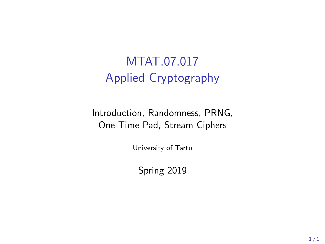# MTAT.07.017 Applied Cryptography

Introduction, Randomness, PRNG, One-Time Pad, Stream Ciphers

University of Tartu

Spring 2019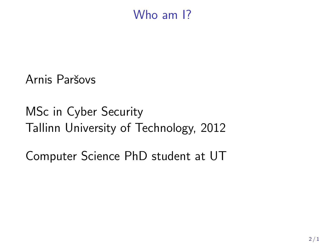### Who am 1?

Arnis Paršovs

MSc in Cyber Security Tallinn University of Technology, 2012

Computer Science PhD student at UT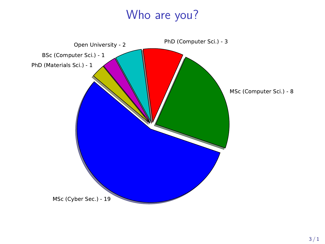### Who are you?

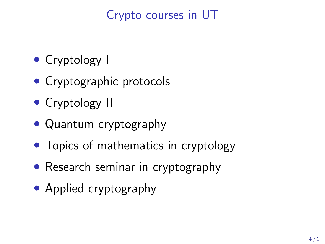## Crypto courses in UT

- Cryptology I
- Cryptographic protocols
- Cryptology II
- Quantum cryptography
- Topics of mathematics in cryptology
- Research seminar in cryptography
- Applied cryptography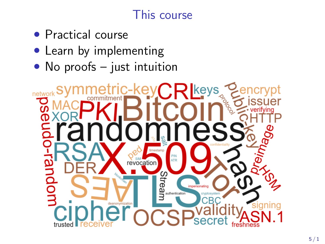## This course

- Practical course
- Learn by implementing
- $\bullet$  No proofs just intuition

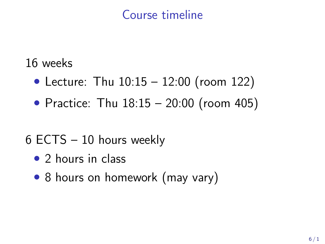### Course timeline

#### 16 weeks

- Lecture: Thu 10:15 12:00 (room 122)
- Practice: Thu 18:15 20:00 (room 405)

# 6 ECTS – 10 hours weekly

- 2 hours in class
- 8 hours on homework (may vary)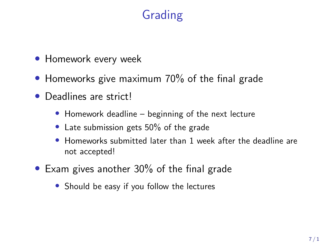## Grading

- Homework every week
- Homeworks give maximum 70% of the final grade
- Deadlines are strict!
	- Homework deadline beginning of the next lecture
	- Late submission gets 50% of the grade
	- Homeworks submitted later than 1 week after the deadline are not accepted!
- Exam gives another 30% of the final grade
	- Should be easy if you follow the lectures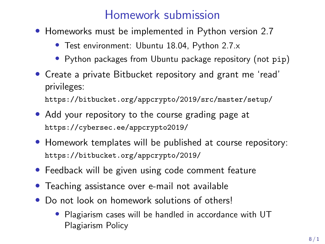#### Homework submission

- Homeworks must be implemented in Python version 2.7
	- Test environment: Ubuntu 18.04, Python 2.7.x
	- Python packages from Ubuntu package repository (not pip)
- Create a private Bitbucket repository and grant me 'read' privileges:

<https://bitbucket.org/appcrypto/2019/src/master/setup/>

- Add your repository to the course grading page at <https://cybersec.ee/appcrypto2019/>
- Homework templates will be published at course repository: <https://bitbucket.org/appcrypto/2019/>
- Feedback will be given using code comment feature
- Teaching assistance over e-mail not available
- Do not look on homework solutions of others!
	- Plagiarism cases will be handled in accordance with UT Plagiarism Policy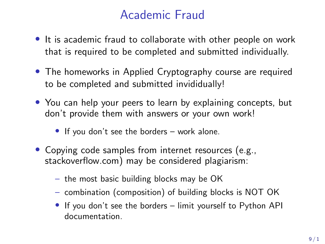### Academic Fraud

- It is academic fraud to collaborate with other people on work that is required to be completed and submitted individually.
- The homeworks in Applied Cryptography course are required to be completed and submitted invididually!
- You can help your peers to learn by explaining concepts, but don't provide them with answers or your own work!
	- If you don't see the borders work alone.
- Copying code samples from internet resources (e.g., stackoverflow.com) may be considered plagiarism:
	- the most basic building blocks may be OK
	- combination (composition) of building blocks is NOT OK
	- If you don't see the borders limit yourself to Python API documentation.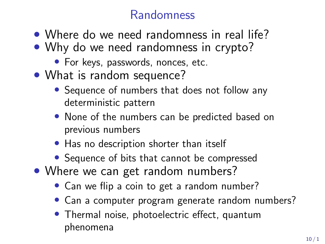## Randomness

- Where do we need randomness in real life?
- Why do we need randomness in crypto?
	- For keys, passwords, nonces, etc.
- What is random sequence?
	- Sequence of numbers that does not follow any deterministic pattern
	- None of the numbers can be predicted based on previous numbers
	- Has no description shorter than itself
	- Sequence of bits that cannot be compressed
- Where we can get random numbers?
	- Can we flip a coin to get a random number?
	- Can a computer program generate random numbers?
	- Thermal noise, photoelectric effect, quantum phenomena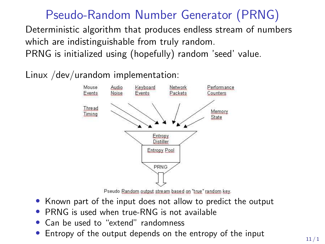### Pseudo-Random Number Generator (PRNG)

Deterministic algorithm that produces endless stream of numbers which are indistinguishable from truly random.

PRNG is initialized using (hopefully) random 'seed' value.

Linux /dev/urandom implementation:



Pseudo Random output stream based on "true" random key.

- Known part of the input does not allow to predict the output
- PRNG is used when true-RNG is not available
- Can be used to "extend" randomness
- Entropy of the output depends on the entropy of the input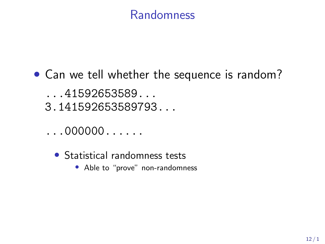#### Randomness

• Can we tell whether the sequence is random?

...41592653589... 3.141592653589793...

- $\ldots000000\ldots\ldots$ 
	- Statistical randomness tests
		- Able to "prove" non-randomness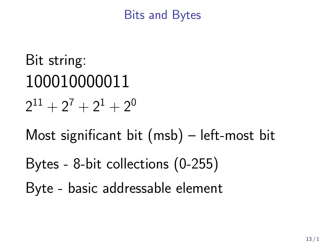#### Bits and Bytes

Bit string: 100010000011  $2^{11} + 2^7 + 2^1 + 2^0$ 

Most significant bit (msb) – left-most bit

Bytes - 8-bit collections (0-255)

Byte - basic addressable element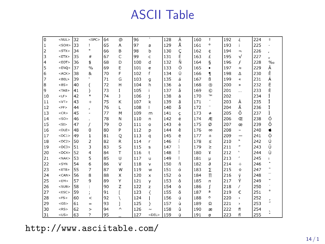### ASCII Table

| $\mathbf 0$  | <nul></nul>                                                                                                                                                                                                         | 32 | $<$ SPC>            | 64 | @            | 96  | ۰        | 128 | Ä | 160 | $\ddagger$       | 192 | غ                        | 224 | $\ddagger$   |
|--------------|---------------------------------------------------------------------------------------------------------------------------------------------------------------------------------------------------------------------|----|---------------------|----|--------------|-----|----------|-----|---|-----|------------------|-----|--------------------------|-----|--------------|
| $\mathbf{1}$ | <soh></soh>                                                                                                                                                                                                         | 33 | 1                   | 65 | Α            | 97  | a        | 129 | Å | 161 | o                | 193 | î                        | 225 |              |
| 2            | $<$ STX $>$                                                                                                                                                                                                         | 34 | $\boldsymbol{\eta}$ | 66 | B            | 98  | b        | 130 | Ç | 162 | ¢                | 194 | $\overline{\phantom{0}}$ | 226 |              |
| 3            | <etx< td=""><td>35</td><td>#</td><td>67</td><td>Ċ</td><td>99</td><td>c</td><td>131</td><td>É</td><td>163</td><td>£</td><td>195</td><td><math>\sqrt{}</math></td><td>227</td><td><math>\mathbf{r}</math></td></etx<> | 35 | #                   | 67 | Ċ            | 99  | c        | 131 | É | 163 | £                | 195 | $\sqrt{}$                | 227 | $\mathbf{r}$ |
| 4            | $<$ EOT>                                                                                                                                                                                                            | 36 | \$                  | 68 | D            | 100 | d        | 132 | Ñ | 164 | Ś                | 196 | f                        | 228 | $\%$         |
| 5            | $<$ ENQ >                                                                                                                                                                                                           | 37 | $\frac{0}{0}$       | 69 | E            | 101 | e        | 133 | Ö | 165 | ۰                | 197 | $\approx$                | 229 | Â            |
| 6            | $<$ ACK $>$                                                                                                                                                                                                         | 38 | 8                   | 70 | F            | 102 | f        | 134 | Ü | 166 | 1                | 198 | Δ                        | 230 | Ê            |
| 7            | $<$ BEL>                                                                                                                                                                                                            | 39 | ×.                  | 71 | G            | 103 | q        | 135 | á | 167 | ß                | 199 | $\propto$                | 231 | Á            |
| 8            | $<$ BS>                                                                                                                                                                                                             | 40 |                     | 72 | Η            | 104 | h        | 136 | à | 168 | $\circledR$      | 200 | $\boldsymbol{v}$         | 232 | Ë            |
| 9            | $<$ TAB>                                                                                                                                                                                                            | 41 | $\lambda$           | 73 | I            | 105 |          | 137 | â | 169 | ©                | 201 | $\cdots$                 | 233 | È            |
| 10           | $<$ LF>                                                                                                                                                                                                             | 42 | $\ast$              | 74 | J            | 106 |          | 138 | ä | 170 | TM               | 202 |                          | 234 |              |
| 11           | <vt></vt>                                                                                                                                                                                                           | 43 | $+$                 | 75 | K            | 107 | k        | 139 | ã | 171 | ٠                | 203 | À                        | 235 | Î            |
| 12           | $<$ FF $>$                                                                                                                                                                                                          | 44 | x                   | 76 | L            | 108 |          | 140 | å | 172 | .,               | 204 | Ã                        | 236 | Ï            |
| 13           | $<$ CR>                                                                                                                                                                                                             | 45 | ٠                   | 77 | M            | 109 | m        | 141 | Ç | 173 | $\neq$           | 205 | Õ                        | 237 | Ì            |
| 14           | $<$ SO>                                                                                                                                                                                                             | 46 | ä,                  | 78 | Ν            | 110 | n        | 142 | é | 174 | Æ                | 206 | Œ                        | 238 | Ó            |
| 15           | $<$ SI $>$                                                                                                                                                                                                          | 47 | 7                   | 79 | $\circ$      | 111 | $\circ$  | 143 | è | 175 | Ø                | 207 | œ                        | 239 | Ô            |
| 16           | $<$ DLE>                                                                                                                                                                                                            | 48 | 0                   | 80 | P            | 112 | p        | 144 | ê | 176 | $^{\circ}$       | 208 | $\qquad \qquad -$        | 240 |              |
| 17           | $<$ DC1 >                                                                                                                                                                                                           | 49 | $\mathbf{1}$        | 81 | Q            | 113 | q        | 145 | ë | 177 | $\pm$            | 209 | $\overline{\phantom{0}}$ | 241 | Ò            |
| 18           | $<$ DC2>                                                                                                                                                                                                            | 50 | $\overline{2}$      | 82 | R            | 114 | r        | 146 |   | 178 | $\leq$           | 210 | $\boldsymbol{\pi}$       | 242 | Ú            |
| 19           | $<$ DC3>                                                                                                                                                                                                            | 51 | 3                   | 83 | S            | 115 | s        | 147 |   | 179 | ż                | 211 | $^{\prime\prime}$        | 243 | Û            |
| 20           | $<$ DC4>                                                                                                                                                                                                            | 52 | 4                   | 84 | T            | 116 | t        | 148 |   | 180 | ¥                | 212 | ٠                        | 244 | ù            |
| 21           | $<$ NAK>                                                                                                                                                                                                            | 53 | 5                   | 85 | Ü            | 117 | u        | 149 | ï | 181 | μ                | 213 | ٠                        | 245 |              |
| 22           | $<$ SYN                                                                                                                                                                                                             | 54 | 6                   | 86 | v            | 118 | v        | 150 | ñ | 182 | a                | 214 | ÷                        | 246 |              |
| 23           | $<$ ETB $>$                                                                                                                                                                                                         | 55 | $\overline{7}$      | 87 | W            | 119 | w        | 151 | ó | 183 | Σ                | 215 | $\Diamond$               | 247 |              |
| 24           | $<$ CAN $>$                                                                                                                                                                                                         | 56 | 8                   | 88 | x            | 120 | $\times$ | 152 | ò | 184 | $\overline{\Pi}$ | 216 | ÿ                        | 248 |              |
| 25           | $<$ EM>                                                                                                                                                                                                             | 57 | 9                   | 89 | Υ            | 121 | ٧        | 153 | ô | 185 | п                | 217 | Ϋ                        | 249 |              |
| 26           | $<$ SUB $>$                                                                                                                                                                                                         | 58 |                     | 90 | Z            | 122 | z        | 154 | ö | 186 | ſ                | 218 | 7                        | 250 |              |
| 27           | $<$ ESC>                                                                                                                                                                                                            | 59 | $\lambda$           | 91 |              | 123 | ₹        | 155 | õ | 187 | a                | 219 | €                        | 251 | ó            |
| 28           | $<$ FS >                                                                                                                                                                                                            | 60 | $\,<$               | 92 | V            | 124 |          | 156 | ú | 188 | $\circ$          | 220 | $\epsilon$               | 252 |              |
| 29           | $<$ GS $>$                                                                                                                                                                                                          | 61 | $=$                 | 93 | <sup>1</sup> | 125 | Y        | 157 | ù | 189 | Ω                | 221 | >                        | 253 | ú            |
| 30           | $<$ RS>                                                                                                                                                                                                             | 62 | $\geq$              | 94 | $\land$      | 126 | $\sim$   | 158 | û | 190 | æ                | 222 | fi                       | 254 |              |
| 31           | $<$ US>                                                                                                                                                                                                             | 63 | J.                  | 95 |              | 127 | $<$ DEL> | 159 | ü | 191 | $\sigma$         | 223 | fl                       | 255 |              |

<http://www.asciitable.com/>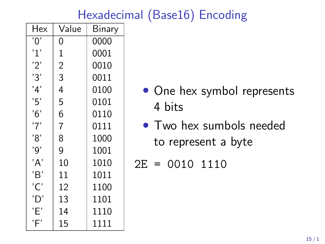## Hexadecimal (Base16) Encoding

| Hex | Value          | Binary |
|-----|----------------|--------|
| '0' | 0              | 0000   |
| '1' | $\mathbf 1$    | 0001   |
| '2' | $\overline{2}$ | 0010   |
| '3' | 3              | 0011   |
| '4' | 4              | 0100   |
| '5' | 5              | 0101   |
| 6'  | 6              | 0110   |
| '7' | 7              | 0111   |
| '8' | 8              | 1000   |
| '9' | 9              | 1001   |
| 'A' | 10             | 1010   |
| 'B' | 11             | 1011   |
| 'C' | 12             | 1100   |
| 'D' | 13             | 1101   |
| Έ'  | 14             | 1110   |
| 'F  | 15             | 1111   |

- One hex symbol represents 4 bits
- Two hex sumbols needed to represent a byte

$$
2E = 0010 1110
$$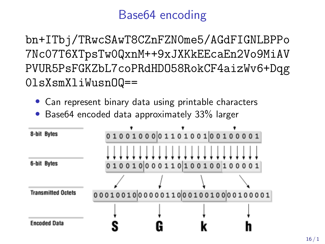### Base64 encoding

bn+ITbj/TRwcSAwT8CZnFZN0me5/AGdFIGNLBPPo 7Nc07T6XTpsTw0QxnM++9xJXKkEEcaEn2Vo9MiAV PVUR5PsFGKZbL7coPRdHDO58RokCF4aizWv6+Dqg 0lsXsmXliWusnOQ==

- Can represent binary data using printable characters
- Base64 encoded data approximately 33% larger

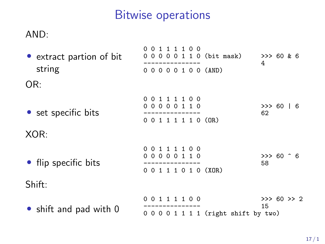## Bitwise operations

#### AND:

| • extract partion of bit<br>string | 00111100<br>00000110 (bit mask)<br>00000100 (AND)      | >> 60 & 6<br>4    |
|------------------------------------|--------------------------------------------------------|-------------------|
| OR:                                |                                                        |                   |
| • set specific bits<br>XOR:        | 1 1 1 1 0 0<br>0 O<br>00000110<br>0 0 1 1 1 1 1 0 (OR) | >> 60 16<br>62    |
| • flip specific bits               | 111100<br>0 O<br>00000110<br>0 0 1 1 1 0 1 0 (XOR)     | $>> 60$ ^ 6<br>58 |
| Shift:                             |                                                        |                   |
| • shift and pad with 0             | 00111100<br>$0 0 0 0 1 1 1 1$ (right shift by two)     | >> 60 >> 2<br>15  |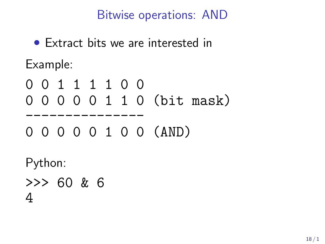Bitwise operations: AND

• Extract bits we are interested in Example:

0 0 1 1 1 1 0 0 0 0 0 0 0 1 1 0 (bit mask)

--------------- 0 0 0 0 0 1 0 0 (AND)

Python:

>>> 60 & 6 4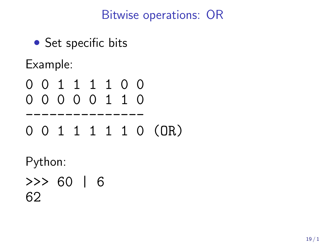### Bitwise operations: OR

• Set specific bits

Example:

- 0 0 1 1 1 1 0 0 0 0 0 0 0 1 1 0
- --------------- 0 0 1 1 1 1 1 0 (OR)

Python:

>>> 60 | 6 62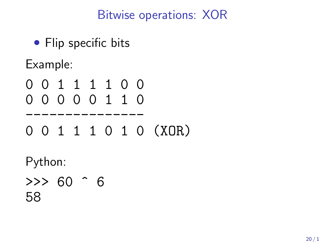### Bitwise operations: XOR

• Flip specific bits

Example:

- 0 0 1 1 1 1 0 0 0 0 0 0 0 1 1 0
- --------------- 0 0 1 1 1 0 1 0 (XOR)

Python:

 $>>$  60  $^{\circ}$  6 58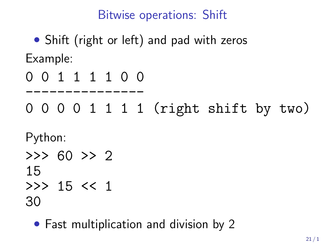### Bitwise operations: Shift

# • Shift (right or left) and pad with zeros Example:

0 0 1 1 1 1 0 0

---------------

0 0 0 0 1 1 1 1 (right shift by two)

Python:

 $>>$  60  $>>$  2 15  $>>$  15  $<<$  1

30

• Fast multiplication and division by 2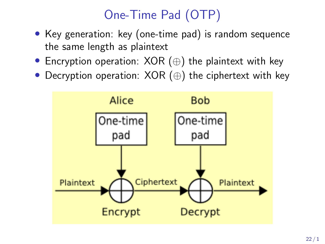# One-Time Pad (OTP)

- Key generation: key (one-time pad) is random sequence the same length as plaintext
- Encryption operation: XOR (⊕) the plaintext with key
- Decryption operation: XOR (⊕) the ciphertext with key

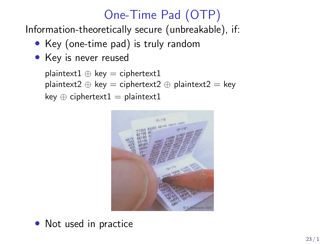# One-Time Pad (OTP)

Information-theoretically secure (unbreakable), if:

- Key (one-time pad) is truly random
- Key is never reused

```
plaintext1 \oplus key = ciphertext1
plaintext2 \oplus key = ciphertext2 \oplus plaintext2 = key
key \oplus ciphertext1 = plaintext1
```


• Not used in practice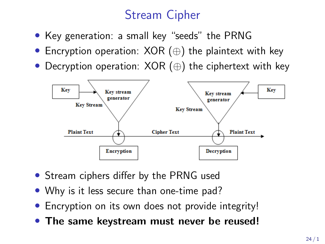### Stream Cipher

- Key generation: a small key "seeds" the PRNG
- Encryption operation: XOR (⊕) the plaintext with key
- Decryption operation: XOR (⊕) the ciphertext with key



- Stream ciphers differ by the PRNG used
- Why is it less secure than one-time pad?
- Encryption on its own does not provide integrity!
- The same keystream must never be reused!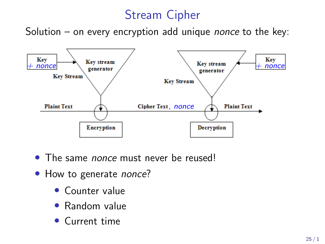### Stream Cipher

Solution – on every encryption add unique *nonce* to the key:



- The same *nonce* must never be reused!
- How to generate nonce?
	- Counter value
	- Random value
	- Current time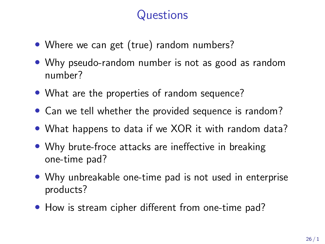### **Questions**

- Where we can get (true) random numbers?
- Why pseudo-random number is not as good as random number?
- What are the properties of random sequence?
- Can we tell whether the provided sequence is random?
- What happens to data if we XOR it with random data?
- Why brute-froce attacks are ineffective in breaking one-time pad?
- Why unbreakable one-time pad is not used in enterprise products?
- How is stream cipher different from one-time pad?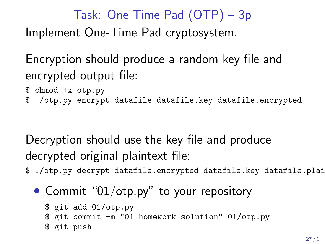# Task: One-Time Pad (OTP) – 3p Implement One-Time Pad cryptosystem.

Encryption should produce a random key file and encrypted output file:

- \$ chmod +x otp.py
- \$ ./otp.py encrypt datafile datafile.key datafile.encrypted

Decryption should use the key file and produce decrypted original plaintext file:

- \$ ./otp.py decrypt datafile.encrypted datafile.key datafile.plain
	- Commit "01/otp.py" to your repository

```
$ git add 01/otp.py
$ git commit -m "01 homework solution" 01/otp.py
$ git push
```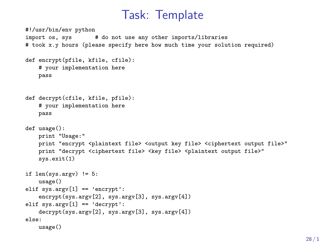#### Task: Template

```
#!/usr/bin/env python
import os, sys # do not use any other imports/libraries
# took x.y hours (please specify here how much time your solution required)
def encrypt(pfile, kfile, cfile):
    # your implementation here
   pass
def decrypt(cfile, kfile, pfile):
    # your implementation here
   pass
def usage():
   print "Usage:"
    print "encrypt <plaintext file> <output key file> <ciphertext output file>"
    print "decrypt <ciphertext file> <key file> <plaintext output file>"
    sys.exit(1)
if len(sys.argv) != 5:
   usage()
elif sys.argv[1] == 'encrvpt':encrypt(sys.argv[2], sys.argv[3], sys.argv[4])
elif sys.argv[1] == 'decrvpt':decrypt(sys.argv[2], sys.argv[3], sys.argv[4])
else:
   usage()
```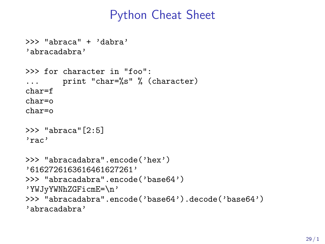#### Python Cheat Sheet

```
>>> "abraca" + 'dabra'
'abracadabra'
>>> for character in "foo":
... print "char=%s" % (character)
char=f
char=o
char=o
>>> "abraca"[2:5]
'rac'
>>> "abracadabra".encode('hex')
'6162726163616461627261'
>>> "abracadabra".encode('base64')
'YWJyYWNhZGFicmE=\n'
>>> "abracadabra".encode('base64').decode('base64')
'abracadabra'
```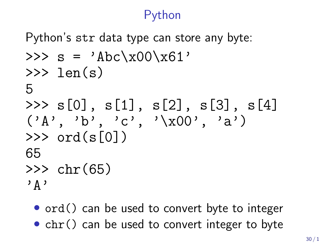#### Python

Python's str data type can store any byte:

```
>>> s = 'Abc\xx00\xx61'\gg len(s)
5
\gg s[0], s[1], s[2], s[3], s[4]
(\lambda_1, \lambda_2, \lambda_3, \lambda_4, \lambda_5, \lambda_6, \lambda_7, \lambda_8)\gg ord(s[0])
65
\gg chr(65)
'A'
```
• ord() can be used to convert byte to integer

• chr() can be used to convert integer to byte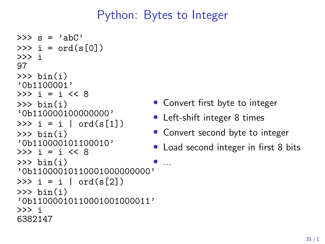### Python: Bytes to Integer

• ...

```
\gg s = 'abC'
>> i = ord(s[0])>>> i
97
\gg bin(i)
'0b1100001'
>>> i = i << 8
\gg bin(i)
'0b110000100000000'
>>> i = i \mid ord(s[1])\gg bin(i)
'0b110000101100010'
\gg \frac{1}{1} = \frac{1}{1} << 8
\gg bin(i)
'0b11000010110001000000000'
\gg i = i | ord(s[2])
\gg bin(i)
'0b11000010110001001000011'
>>> i
6382147
```
- Convert first byte to integer
- Left-shift integer 8 times
- Convert second byte to integer
- Load second integer in first 8 bits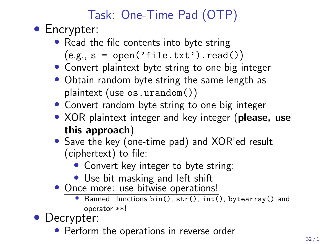# Task: One-Time Pad (OTP)

- Encrypter:
	- Read the file contents into byte string  $(e.g., s = open('file.txt').read())$
	- Convert plaintext byte string to one big integer
	- Obtain random byte string the same length as plaintext (use os.urandom())
	- Convert random byte string to one big integer
	- XOR plaintext integer and key integer (please, use this approach)
	- Save the key (one-time pad) and XOR'ed result (ciphertext) to file:
		- Convert key integer to byte string:
		- Use bit masking and left shift
	- Once more: use bitwise operations!
		- Banned: functions bin(), str(), int(), bytearray() and operator \*\*!
- Decrypter:
	- Perform the operations in reverse order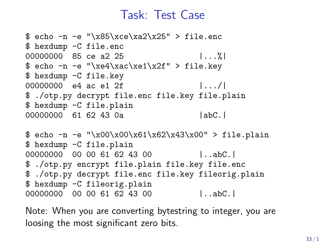#### Task: Test Case

```
$ echo -n -e "\x85\xce\xa2\x25" > file.enc
$ hexdump -C file.enc
00000000 85 ce a 2 25 |... %
\text{ * echo -n -e "}\xe4\xac\xe1\x2f" > file.key$ hexdump -C file.key
00000000 e4 ac e1 2f |.../|
$ ./otp.py decrypt file.enc file.key file.plain
$ hexdump -C file.plain
00000000 61 62 43 0a | abC.|
$ echo -n -e "\\x00\\x00\\x61\\x62\\x43\\x00" > file.plain$ hexdump -C file.plain
00000000 00 00 61 62 43 00 |..abC.
$ ./otp.py encrypt file.plain file.key file.enc
```
\$ ./otp.py decrypt file.enc file.key fileorig.plain \$ hexdump -C fileorig.plain 00000000 00 00 61 62 43 00 |..abC.|

Note: When you are converting bytestring to integer, you are loosing the most significant zero bits.